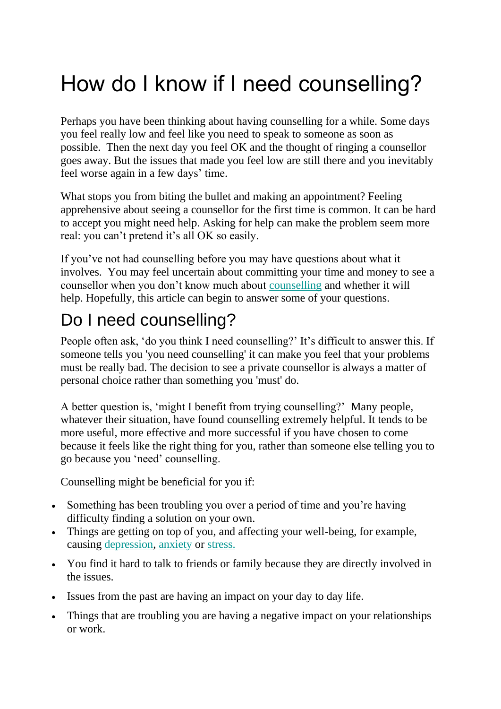## How do I know if I need counselling?

Perhaps you have been thinking about having counselling for a while. Some days you feel really low and feel like you need to speak to someone as soon as possible. Then the next day you feel OK and the thought of ringing a counsellor goes away. But the issues that made you feel low are still there and you inevitably feel worse again in a few days' time.

What stops you from biting the bullet and making an appointment? Feeling apprehensive about seeing a counsellor for the first time is common. It can be hard to accept you might need help. Asking for help can make the problem seem more real: you can't pretend it's all OK so easily.

If you've not had counselling before you may have questions about what it involves. You may feel uncertain about committing your time and money to see a counsellor when you don't know much about [counselling](https://www.counselling-directory.org.uk/what-is-counselling.html) and whether it will help. Hopefully, this article can begin to answer some of your questions.

## Do I need counselling?

People often ask, 'do you think I need counselling?' It's difficult to answer this. If someone tells you 'you need counselling' it can make you feel that your problems must be really bad. The decision to see a private counsellor is always a matter of personal choice rather than something you 'must' do.

A better question is, 'might I benefit from trying counselling?' Many people, whatever their situation, have found counselling extremely helpful. It tends to be more useful, more effective and more successful if you have chosen to come because it feels like the right thing for you, rather than someone else telling you to go because you 'need' counselling.

Counselling might be beneficial for you if:

- Something has been troubling you over a period of time and you're having difficulty finding a solution on your own.
- Things are getting on top of you, and affecting your well-being, for example, causing [depression,](https://www.counselling-directory.org.uk/depression.html) [anxiety](https://www.counselling-directory.org.uk/anxiety.html) or [stress.](https://www.counselling-directory.org.uk/stress.html)
- You find it hard to talk to friends or family because they are directly involved in the issues.
- Issues from the past are having an impact on your day to day life.
- Things that are troubling you are having a negative impact on your relationships or work.